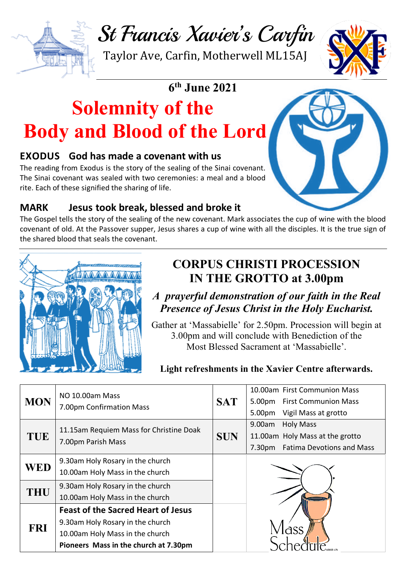St Francis Xavier's Carfin

Taylor Ave, Carfin, Motherwell ML15AJ

# **6th June 2021**

# **Solemnity of the Body and Blood of the Lord**

#### **EXODUS God has made a covenant with us**

The reading from Exodus is the story of the sealing of the Sinai covenant. The Sinai covenant was sealed with two ceremonies: a meal and a blood rite. Each of these signified the sharing of life.



### **MARK Jesus took break, blessed and broke it**

The Gospel tells the story of the sealing of the new covenant. Mark associates the cup of wine with the blood covenant of old. At the Passover supper, Jesus shares a cup of wine with all the disciples. It is the true sign of the shared blood that seals the covenant.



# **CORPUS CHRISTI PROCESSION IN THE GROTTO at 3.00pm**

### *A prayerful demonstration of our faith in the Real Presence of Jesus Christ in the Holy Eucharist.*

Gather at 'Massabielle' for 2.50pm. Procession will begin at 3.00pm and will conclude with Benediction of the Most Blessed Sacrament at 'Massabielle'.

#### **Light refreshments in the Xavier Centre afterwards.**

| <b>MON</b> | NO 10.00am Mass<br>7.00pm Confirmation Mass                                                                                                               | <b>SAT</b> | 10.00am First Communion Mass<br>5.00pm First Communion Mass<br>5.00pm<br>Vigil Mass at grotto                           |
|------------|-----------------------------------------------------------------------------------------------------------------------------------------------------------|------------|-------------------------------------------------------------------------------------------------------------------------|
| <b>TUE</b> | 11.15am Requiem Mass for Christine Doak<br>7.00pm Parish Mass                                                                                             | <b>SUN</b> | 9.00am<br><b>Holy Mass</b><br>11.00am Holy Mass at the grotto<br>7.30 <sub>pm</sub><br><b>Fatima Devotions and Mass</b> |
| <b>WED</b> | 9.30am Holy Rosary in the church<br>10.00am Holy Mass in the church                                                                                       |            |                                                                                                                         |
| THU        | 9.30am Holy Rosary in the church<br>10.00am Holy Mass in the church                                                                                       |            |                                                                                                                         |
| <b>FRI</b> | <b>Feast of the Sacred Heart of Jesus</b><br>9.30am Holy Rosary in the church<br>10.00am Holy Mass in the church<br>Pioneers Mass in the church at 7.30pm |            |                                                                                                                         |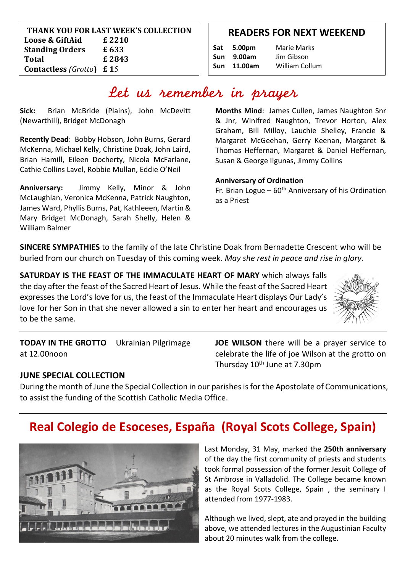| THANK YOU FOR LAST WEEK'S COLLECTION                            |        |  |  |  |  |
|-----------------------------------------------------------------|--------|--|--|--|--|
| Loose & GiftAid                                                 | £ 2210 |  |  |  |  |
| <b>Standing Orders</b>                                          | £633   |  |  |  |  |
| Total                                                           | £ 2843 |  |  |  |  |
| <b>Contactless</b> ( <i>Grotto</i> ) $\boldsymbol{\epsilon}$ 15 |        |  |  |  |  |

**5**

#### **READERS FOR NEXT WEEKEND**

More readers needed. Please add your name to the list

|     | Sat 5.00pm | <b>Marie Marks</b>    |
|-----|------------|-----------------------|
| Sun | 9.00am     | Jim Gibson            |
| Sun | 11.00am    | <b>William Collum</b> |

# Let us remember in prayer

**Sick:** Brian McBride (Plains), John McDevitt (Newarthill), Bridget McDonagh

**Recently Dead**: Bobby Hobson, John Burns, Gerard McKenna, Michael Kelly, Christine Doak, John Laird, Brian Hamill, Eileen Docherty, Nicola McFarlane, Cathie Collins Lavel, Robbie Mullan, Eddie O'Neil

**Anniversary:** Jimmy Kelly, Minor & John McLaughlan, Veronica McKenna, Patrick Naughton, James Ward, Phyllis Burns, Pat, Kathleeen, Martin & Mary Bridget McDonagh, Sarah Shelly, Helen & William Balmer

**Months Mind**: James Cullen, James Naughton Snr & Jnr, Winifred Naughton, Trevor Horton, Alex Graham, Bill Milloy, Lauchie Shelley, Francie & Margaret McGeehan, Gerry Keenan, Margaret & Thomas Heffernan, Margaret & Daniel Heffernan, Susan & George Ilgunas, Jimmy Collins

#### **Anniversary of Ordination**

Fr. Brian Logue –  $60<sup>th</sup>$  Anniversary of his Ordination as a Priest

**SINCERE SYMPATHIES** to the family of the late Christine Doak from Bernadette Crescent who will be buried from our church on Tuesday of this coming week. *May she rest in peace and rise in glory.*

**SATURDAY IS THE FEAST OF THE IMMACULATE HEART OF MARY** which always falls the day after the feast of the Sacred Heart of Jesus. While the feast of the Sacred Heart expresses the Lord's love for us, the feast of the Immaculate Heart displays Our Lady's love for her Son in that she never allowed a sin to enter her heart and encourages us to be the same.



**TODAY IN THE GROTTO** Ukrainian Pilgrimage at 12.00noon

**JOE WILSON** there will be a prayer service to celebrate the life of joe Wilson at the grotto on Thursday 10<sup>th</sup> June at 7.30pm

#### **JUNE SPECIAL COLLECTION**

During the month of June the Special Collection in our parishes is for the Apostolate of Communications, to assist the funding of the Scottish Catholic Media Office.

# **Real Colegio de Esoceses, España (Royal Scots College, Spain)**



Last Monday, 31 May, marked the **250th anniversary**  of the day the first community of priests and students took formal possession of the former Jesuit College of St Ambrose in Valladolid. The College became known as the Royal Scots College, Spain , the seminary I attended from 1977-1983.

Although we lived, slept, ate and prayed in the building above, we attended lectures in the Augustinian Faculty about 20 minutes walk from the college.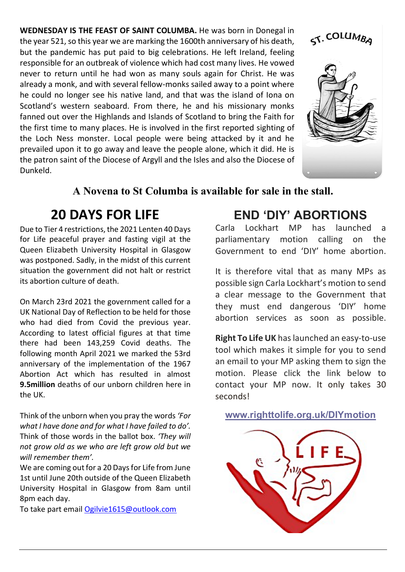**WEDNESDAY IS THE FEAST OF SAINT COLUMBA.** He was born in Donegal in the year 521, so this year we are marking the 1600th anniversary of his death, but the pandemic has put paid to big celebrations. He left Ireland, feeling responsible for an outbreak of violence which had cost many lives. He vowed never to return until he had won as many souls again for Christ. He was already a monk, and with several fellow-monks sailed away to a point where he could no longer see his native land, and that was the island of Iona on Scotland's western seaboard. From there, he and his missionary monks fanned out over the Highlands and Islands of Scotland to bring the Faith for the first time to many places. He is involved in the first reported sighting of the Loch Ness monster. Local people were being attacked by it and he prevailed upon it to go away and leave the people alone, which it did. He is the patron saint of the Diocese of Argyll and the Isles and also the Diocese of Dunkeld.





### **A Novena to St Columba is available for sale in the stall.**

# **20 DAYS FOR LIFE**

Due to Tier 4 restrictions, the 2021 Lenten 40 Days for Life peaceful prayer and fasting vigil at the Queen Elizabeth University Hospital in Glasgow was postponed. Sadly, in the midst of this current situation the government did not halt or restrict its abortion culture of death.

On March 23rd 2021 the government called for a UK National Day of Reflection to be held for those who had died from Covid the previous year. According to latest official figures at that time there had been 143,259 Covid deaths. The following month April 2021 we marked the 53rd anniversary of the implementation of the 1967 Abortion Act which has resulted in almost **9.5million** deaths of our unborn children here in the UK.

Think of the unborn when you pray the words *'For what I have done and for what I have failed to do'.* Think of those words in the ballot box. *'They will not grow old as we who are left grow old but we will remember them'.*

We are coming out for a 20 Days for Life from June 1st until June 20th outside of the Queen Elizabeth University Hospital in Glasgow from 8am until 8pm each day.

To take part email Ogilvie1615@outlook.com

## **END 'DIY' ABORTIONS**

Carla Lockhart MP has launched a parliamentary motion calling on the Government to end 'DIY' home abortion.

It is therefore vital that as many MPs as possible sign Carla Lockhart's motion to send a clear message to the Government that they must end dangerous 'DIY' home abortion services as soon as possible.

**Right To Life UK** has launched an easy-to-use tool which makes it simple for you to send an email to your MP asking them to sign the motion. Please click the link below to contact your MP now. It only takes 30 seconds!

**www.righttolife.org.uk/DIYmotion**